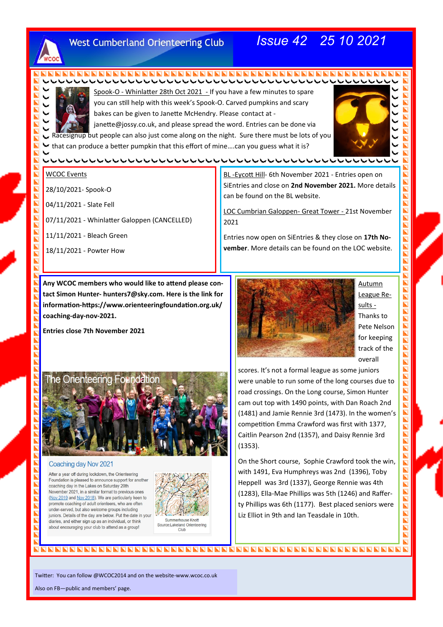

## **West Cumberland Orienteering Club**

# *Issue 42 25 10 2021*



Spook-O - Whinlatter 28th Oct 2021 - If you have a few minutes to spare you can still help with this week's Spook-O. Carved pumpkins and scary bakes can be given to Janette McHendry. Please contact at -

janette@jossy.co.uk, and please spread the word. Entries can be done via Racesignup but people can also just come along on the night. Sure there must be lots of you  $\blacktriangleright$  that can produce a better pumpkin that this effort of mine....can you guess what it is?



П  $\blacksquare$  $\blacksquare$  $\blacksquare$  $\blacksquare$  $\overline{\mathbf{h}}$  $\overline{\mathbf{z}}$ N EI  $\overline{\mathbf{h}}$ N  $\blacksquare$  $\overline{\phantom{a}}$  $\overline{\mathbf{z}}$  $\blacksquare$  $\blacksquare$ Z  $\blacksquare$  $\blacksquare$  $\blacksquare$  $\overline{\mathbf{L}}$  $\blacksquare$  $\blacksquare$ Ē E

 $\blacksquare$ Z  $\overline{\mathbf{z}}$  $\blacksquare$  $\overline{\mathbf{z}}$  $\blacksquare$  $\overline{\mathbf{L}}$  $\blacksquare$  $\overline{\mathbf{z}}$  $\overline{\phantom{a}}$  $\overline{\mathbf{z}}$  $\overline{\phantom{a}}$ 

 $\blacksquare$ 

 $\overline{\mathbf{z}}$ 

 $\blacksquare$ 

 $\blacksquare$ 

 $\blacksquare$ 

 $\overline{\mathbf{z}}$ 

 $\blacksquare$ 

 $\overline{\mathbf{z}}$ 

 $\overline{\mathbf{L}}$ 

 $\overline{\mathbf{z}}$ Б

#### WCOC Events

28/10/2021- Spook-O

04/11/2021 - Slate Fell

07/11/2021 - Whinlatter Galoppen (CANCELLED)

11/11/2021 - Bleach Green

18/11/2021 - Powter How

BL -Eycott Hill- 6th November 2021 - Entries open on SiEntries and close on **2nd November 2021.** More details can be found on the BL website.

LOC Cumbrian Galoppen- Great Tower - 21st November 2021

Entries now open on SiEntries & they close on **17th November**. More details can be found on the LOC website.

**Any WCOC members who would like to attend please contact Simon Hunter- hunters7@sky.com. Here is the link for information-https://www.orienteeringfoundation.org.uk/ coaching-day-nov-2021.**

**Entries close 7th November 2021**



Autumn League Results - Thanks to Pete Nelson for keeping track of the overall



#### Coaching day Nov 2021

After a year off during lockdown, the Orienteering Foundation is pleased to announce support for another coaching day in the Lakes on Saturday 20th November 2021, in a similar format to previous ones (Nov 2019 and Nov 2018). We are particularly keen to promote coaching of adult orienteers, who are often under-served, but also welcome groups including juniors. Details of the day are below. Put the date in your diaries, and either sign up as an individual, or think about encouraging your club to attend as a group!



Source:Lakeland Orienteering  $C<sub>II</sub>$ <sub>h</sub>

scores. It's not a formal league as some juniors were unable to run some of the long courses due to road crossings. On the Long course, Simon Hunter cam out top with 1490 points, with Dan Roach 2nd (1481) and Jamie Rennie 3rd (1473). In the women's competition Emma Crawford was first with 1377, Caitlin Pearson 2nd (1357), and Daisy Rennie 3rd (1353).

On the Short course, Sophie Crawford took the win, with 1491, Eva Humphreys was 2nd (1396), Toby Heppell was 3rd (1337), George Rennie was 4th (1283), Ella-Mae Phillips was 5th (1246) and Rafferty Phillips was 6th (1177). Best placed seniors were Liz Elliot in 9th and Ian Teasdale in 10th.

Twitter: You can follow @WCOC2014 and on the website-www.wcoc.co.uk

Also on FB—public and members' page.